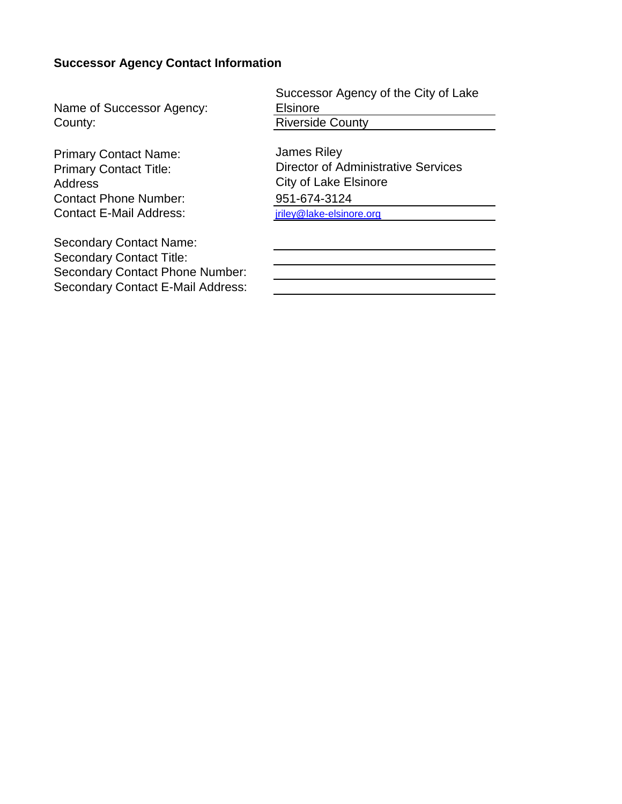# **Successor Agency Contact Information**

Name of Successor Agency: **County:** Riverside County:

Primary Contact Name: Primary Contact Title: Address Contact Phone Number: Contact E-Mail Address: internal contact E-Mail Address:

Secondary Contact Name: Secondary Contact Title: Secondary Contact Phone Number: Secondary Contact E-Mail Address: Successor Agency of the City of Lake Elsinore

James Riley Director of Administrative Services City of Lake Elsinore 951-674-3124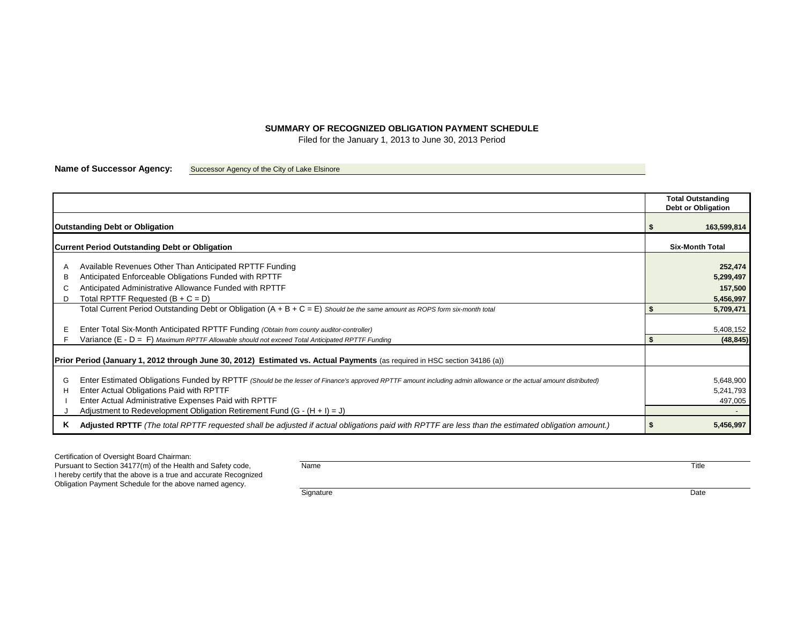## **SUMMARY OF RECOGNIZED OBLIGATION PAYMENT SCHEDULE**

Filed for the January 1, 2013 to June 30, 2013 Period

**Name of Successor Agency:** Successor Agency of the City of Lake Elsinore

| <b>Outstanding Debt or Obligation</b>                                                                                     |                                                                                                                                                                                                                                                                                                                                                    |   |                                              |  |  |  |  |
|---------------------------------------------------------------------------------------------------------------------------|----------------------------------------------------------------------------------------------------------------------------------------------------------------------------------------------------------------------------------------------------------------------------------------------------------------------------------------------------|---|----------------------------------------------|--|--|--|--|
| <b>Current Period Outstanding Debt or Obligation</b>                                                                      |                                                                                                                                                                                                                                                                                                                                                    |   |                                              |  |  |  |  |
| в<br>D                                                                                                                    | Available Revenues Other Than Anticipated RPTTF Funding<br>Anticipated Enforceable Obligations Funded with RPTTF<br>Anticipated Administrative Allowance Funded with RPTTF<br>Total RPTTF Requested $(B + C = D)$                                                                                                                                  |   | 252,474<br>5,299,497<br>157,500<br>5,456,997 |  |  |  |  |
|                                                                                                                           | Total Current Period Outstanding Debt or Obligation $(A + B + C = E)$ Should be the same amount as ROPS form six-month total                                                                                                                                                                                                                       |   | 5,709,471                                    |  |  |  |  |
|                                                                                                                           | Enter Total Six-Month Anticipated RPTTF Funding (Obtain from county auditor-controller)<br>Variance $(E - D = F)$ Maximum RPTTF Allowable should not exceed Total Anticipated RPTTF Funding                                                                                                                                                        |   | 5,408,152<br>(48, 845)                       |  |  |  |  |
| Prior Period (January 1, 2012 through June 30, 2012) Estimated vs. Actual Payments (as required in HSC section 34186 (a)) |                                                                                                                                                                                                                                                                                                                                                    |   |                                              |  |  |  |  |
| G<br>н                                                                                                                    | Enter Estimated Obligations Funded by RPTTF (Should be the lesser of Finance's approved RPTTF amount including admin allowance or the actual amount distributed)<br>Enter Actual Obligations Paid with RPTTF<br>Enter Actual Administrative Expenses Paid with RPTTF<br>Adjustment to Redevelopment Obligation Retirement Fund $(G - (H + I) = J)$ |   | 5,648,900<br>5,241,793<br>497,005            |  |  |  |  |
| ĸ                                                                                                                         | Adjusted RPTTF (The total RPTTF requested shall be adjusted if actual obligations paid with RPTTF are less than the estimated obligation amount.)                                                                                                                                                                                                  | 5 | 5,456,997                                    |  |  |  |  |

Certification of Oversight Board Chairman:

Pursuant to Section 34177(m) of the Health and Safety code, Name Title Control of the Health and Safety code, I hereby certify that the above is a true and accurate Recognized Obligation Payment Schedule for the above named agency.

Signature **Date**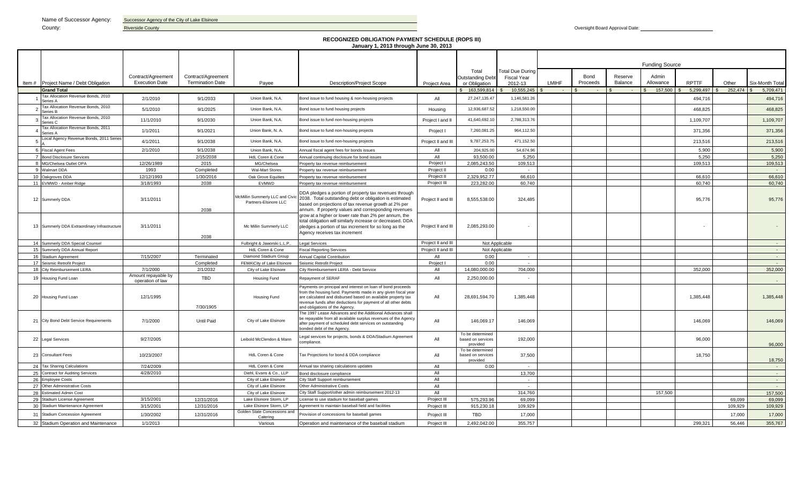Name of Successor Agency: Successor Agency of the City of Lake Elsinore

### County: **Riverside County Riverside County Riverside County Riverside County Riverside County Oversight Board Approval Date:**

#### **RECOGNIZED OBLIGATION PAYMENT SCHEDULE (ROPS III) January 1, 2013 through June 30, 2013**

|                |                                                |                                         |                         |                                                          |                                                                                                                                                                                                                                                                                                 |                    |                                                   |                         | <b>Funding Source</b> |          |         |           |              |         |                 |
|----------------|------------------------------------------------|-----------------------------------------|-------------------------|----------------------------------------------------------|-------------------------------------------------------------------------------------------------------------------------------------------------------------------------------------------------------------------------------------------------------------------------------------------------|--------------------|---------------------------------------------------|-------------------------|-----------------------|----------|---------|-----------|--------------|---------|-----------------|
|                |                                                |                                         |                         |                                                          |                                                                                                                                                                                                                                                                                                 |                    | Total                                             | <b>Total Due During</b> |                       |          |         |           |              |         |                 |
|                |                                                | Contract/Agreement                      | Contract/Agreement      |                                                          |                                                                                                                                                                                                                                                                                                 |                    | <b>Outstanding Debt</b>                           | <b>Fiscal Year</b>      |                       | Bond     | Reserve | Admin     |              |         |                 |
|                | Item # Project Name / Debt Obligation          | <b>Execution Date</b>                   | <b>Termination Date</b> | Payee                                                    | <b>Description/Project Scope</b>                                                                                                                                                                                                                                                                | Project Area       | or Obligation                                     | 2012-13                 | <b>LMIHF</b>          | Proceeds | Balance | Allowance | <b>RPTTF</b> | Other   | Six-Month Total |
|                | <b>Grand Total</b>                             |                                         |                         |                                                          |                                                                                                                                                                                                                                                                                                 |                    | 163,599,814                                       | 10,555,245              |                       |          |         | 157,500   | 5,299,497    | 252,474 | 5,709,471       |
|                | Tax Allocation Revenue Bonds, 2010<br>Series A | 2/1/2010                                | 9/1/2033                | Union Bank, N.A.                                         | Bond issue to fund housing & non-housing projects                                                                                                                                                                                                                                               | All                | 27,247,135.47                                     | 1,146,581.26            |                       |          |         |           | 494,716      |         | 494,716         |
| $\overline{2}$ | Tax Allocation Revenue Bonds, 2010<br>Series B | 5/1/2010                                | 9/1/2025                | Union Bank, N.A.                                         | Bond issue to fund housing projects                                                                                                                                                                                                                                                             | Housing            | 12,936,687.52                                     | 1,218,550.00            |                       |          |         |           | 468,825      |         | 468,825         |
| $\mathbf{R}$   | Tax Allocation Revenue Bonds, 2010<br>Series C | 11/1/2010                               | 9/1/2030                | Union Bank, N.A.                                         | Bond issue to fund non-housing projects                                                                                                                                                                                                                                                         | Project I and I    | 41,640,692.10                                     | 2,788,313.76            |                       |          |         |           | 1,109,707    |         | 1,109,707       |
|                | Tax Allocation Revenue Bonds, 2011<br>Series A | 1/1/2011                                | 9/1/2021                | Union Bank, N. A.                                        | Bond issue to fund non-housing projects                                                                                                                                                                                                                                                         | Project I          | 7,260,081.25                                      | 964,112.50              |                       |          |         |           | 371,356      |         | 371,356         |
|                | Local Agency Revenue Bonds, 2011 Series        | 4/1/2011                                | 9/1/2038                | Union Bank, N.A.                                         | Bond issue to fund non-housing projects                                                                                                                                                                                                                                                         | Project II and III | 9,787,253.75                                      | 471,152.50              |                       |          |         |           | 213,516      |         | 213,516         |
|                | 6 Fiscal Agent Fees                            | 2/1/2010                                | 9/1/2038                | Union Bank, N.A.                                         | Annual fiscal agent fees for bonds issues                                                                                                                                                                                                                                                       | All                | 204,925.00                                        | 54.674.96               |                       |          |         |           | 5.900        |         | 5.900           |
|                | 7 Bond Disclosure Services                     |                                         | 2/15/2038               | HdL Coren & Cone                                         | Annual continuing disclosure for bond issues                                                                                                                                                                                                                                                    | All                | 93,500.00                                         | 5,250                   |                       |          |         |           | 5,250        |         | 5,250           |
|                | 8 MG/Chelsea Outlet OPA                        | 12/26/1989                              | 2015                    | MG/Chelsea                                               | Property tax revenue reimbursement                                                                                                                                                                                                                                                              | Project I          | 2.085.243.50                                      | 109.513                 |                       |          |         |           | 109.513      |         | 109.513         |
|                | 9 Walmart DDA                                  | 1993                                    | Completed               | <b>Wal-Mart Stores</b>                                   | Property tax revenue reimbursement                                                                                                                                                                                                                                                              | Project II         | 0.00                                              |                         |                       |          |         |           |              |         |                 |
|                | 10 Oakgroves DDA                               | 12/12/1993                              | 1/30/2016               | Oak Grove Equities                                       | Property tax revenue reimbursement                                                                                                                                                                                                                                                              | Project II         | 2,329,952.77                                      | 66,610                  |                       |          |         |           | 66,610       |         | 66,610          |
|                | 11 EVMWD - Amber Ridge                         | 3/18/1993                               | 2038                    | EVMWD                                                    | Property tax revenue reimbursement                                                                                                                                                                                                                                                              | Project III        | 223,282.00                                        | 60,740                  |                       |          |         |           | 60.740       |         | 60,740          |
|                | 12 Summerly DDA                                | 3/11/2011                               | 2038                    | McMillin Summerly LLC and Civic<br>Partners-Elsinore LLC | DDA pledges a portion of property tax revenues through<br>2038. Total outstanding debt or obligation is estimated<br>based on projections of tax revenue growth at 2% per<br>annum. If property values and corresponding revenues                                                               | Project II and III | 8,555,538.00                                      | 324,485                 |                       |          |         |           | 95,776       |         | 95,776          |
|                | 13 Summerly DDA Extraordinary Infrastructure   | 3/11/2011                               | 2038                    | Mc Millin Summerly LLC                                   | grow at a higher or lower rate than 2% per annum, the<br>total obligation will similarly increase or decreased. DDA<br>pledges a portion of tax increment for so long as the<br>Agency receives tax increment                                                                                   | Project II and III | 2,085,293.00                                      |                         |                       |          |         |           |              |         |                 |
|                | 14 Summerly DDA Special Counsel                |                                         |                         | Fulbright & Jaworski L.L.P.                              | egal Services                                                                                                                                                                                                                                                                                   | Project II and III |                                                   | Not Applicable          |                       |          |         |           |              |         |                 |
|                | 15 Summerly DDA Annual Report                  |                                         |                         | HdL Coren & Cone                                         | <b>Fiscal Reporting Services</b>                                                                                                                                                                                                                                                                | Project II and III | Not Applicable                                    |                         |                       |          |         |           |              |         | $\sim 10$       |
|                | 16 Stadium Agreement                           | 7/15/2007                               | Terminated              | Diamond Stadium Group                                    | Annual Capital Contribution                                                                                                                                                                                                                                                                     | All                | 0.00<br>$\sim$                                    |                         |                       |          |         |           |              |         | <b>Contract</b> |
|                | 17 Seismic Retrofit Project                    |                                         | Completed               | FEMA\City of Lake Elsinore                               | Seismic Retrofit Project                                                                                                                                                                                                                                                                        | Project I          | 0.00                                              |                         |                       |          |         |           |              |         | na.             |
|                | 18 City Reimbursement LERA                     | 7/1/2000                                | 2/1/2032                | City of Lake Elsinore                                    | City Reimbursement LERA - Debt Service                                                                                                                                                                                                                                                          | All                | 14,080,000.00                                     | 704,000                 |                       |          |         |           | 352,000      |         | 352,000         |
|                | 19 Housing Fund Loan                           | Amount repayable by<br>operation of law | <b>TBD</b>              | Housing Fund                                             | Repayment of SERAF                                                                                                                                                                                                                                                                              | All                | 2,250,000.00                                      |                         |                       |          |         |           |              |         |                 |
|                | 20 Housing Fund Loan                           | 12/1/1995                               | 7/30/1905               | Housing Fund                                             | Payments on principal and interest on loan of bond proceeds<br>from the housing fund. Payments made in any given fiscal year<br>are calculated and disbursed based on available property tax<br>revenue funds after deductions for payment of all other debts<br>and obligations of the Agency. | All                | 28,691,594.70                                     | 1,385,448               |                       |          |         |           | 1,385,448    |         | 1,385,448       |
|                | 21 City Bond Debt Service Requirements         | 7/1/2000                                | Until Paid              | City of Lake Elsinore                                    | The 1997 Lease Advances and the Additional Advances shall<br>be repayable from all available surplus revenues of the Agency<br>after payment of scheduled debt services on outstanding<br>bonded debt of the Agency.                                                                            | All                | 146,069.17                                        | 146,069                 |                       |          |         |           | 146,069      |         | 146,069         |
|                | 22 Legal Services                              | 9/27/2005                               |                         | Leibold McClendon & Mann                                 | egal services for projects, bonds & DDA/Stadium Agreement<br>compliance.                                                                                                                                                                                                                        | All                | To be determined<br>based on services<br>provided | 192,000                 |                       |          |         |           | 96,000       |         | 96,000          |
|                | 23 Consultant Fees                             | 10/23/2007                              |                         | HdL Coren & Cone                                         | Tax Projections for bond & DDA compliance                                                                                                                                                                                                                                                       | All                | To be determined<br>based on services<br>provided | 37,500                  |                       |          |         |           | 18,750       |         | 18,750          |
|                | 24 Tax Sharing Calculations                    | 7/24/2009                               |                         | HdL Coren & Cone                                         | Annual tax sharing calculations updates                                                                                                                                                                                                                                                         | All                | 0.00                                              |                         |                       |          |         |           |              |         |                 |
|                | 25 Contract for Auditing Services              | 4/28/2010                               |                         | Diehl, Evans & Co., LLP                                  | Bond disclosure compliance                                                                                                                                                                                                                                                                      | All                |                                                   | 13.700                  |                       |          |         |           |              |         | $\sim$ $-$      |
|                | 26 Employee Costs                              |                                         |                         | City of Lake Elsinore                                    | City Staff Support reimbursement                                                                                                                                                                                                                                                                | All                |                                                   | $\sim$                  |                       |          |         |           |              |         | <b>Contract</b> |
|                | 27 Other Administrative Costs                  |                                         |                         | City of Lake Elsinore                                    | Other Administrative Costs                                                                                                                                                                                                                                                                      | All                |                                                   | $\sim$                  |                       |          |         |           |              |         | $\sim 10$       |
|                | 28 Estimated Admin Cost                        |                                         |                         | City of Lake Elsinore                                    | City Staff Support/other admin reimbursement 2012-13                                                                                                                                                                                                                                            | All                |                                                   | 314,760                 |                       |          |         | 157,500   |              |         | 157,500         |
|                | 29 Stadium License Agreement                   | 3/15/2001                               | 12/31/2016              | Lake Elsinore Storm, LP                                  | License to use stadium for baseball games                                                                                                                                                                                                                                                       | Project III        | 575.293.96                                        | 69.099                  |                       |          |         |           |              | 69.099  | 69.099          |
|                | 30 Stadium Maintenance Agreement               | 3/15/2001                               | 12/31/2016              | Lake Elsinore Storm, LP                                  | Agreement to maintain baseball field and facilities                                                                                                                                                                                                                                             | Project III        | 915,230.18                                        | 109,929                 |                       |          |         |           |              | 109.929 | 109,929         |
| 31             | Stadium Concession Agreement                   | 1/30/2002                               | 12/31/2016              | Golden State Concessions and<br>Catering                 | Provision of concessions for baseball games                                                                                                                                                                                                                                                     | Project III        | <b>TBD</b>                                        | 17,000                  |                       |          |         |           |              | 17,000  | 17,000          |
|                | 32 Stadium Operation and Maintenance           | 1/1/2013                                |                         | Various                                                  | Operation and maintenance of the baseball stadium                                                                                                                                                                                                                                               | Project III        | 2.492.042.00                                      | 355.757                 |                       |          |         |           | 299.321      | 56.446  | 355,767         |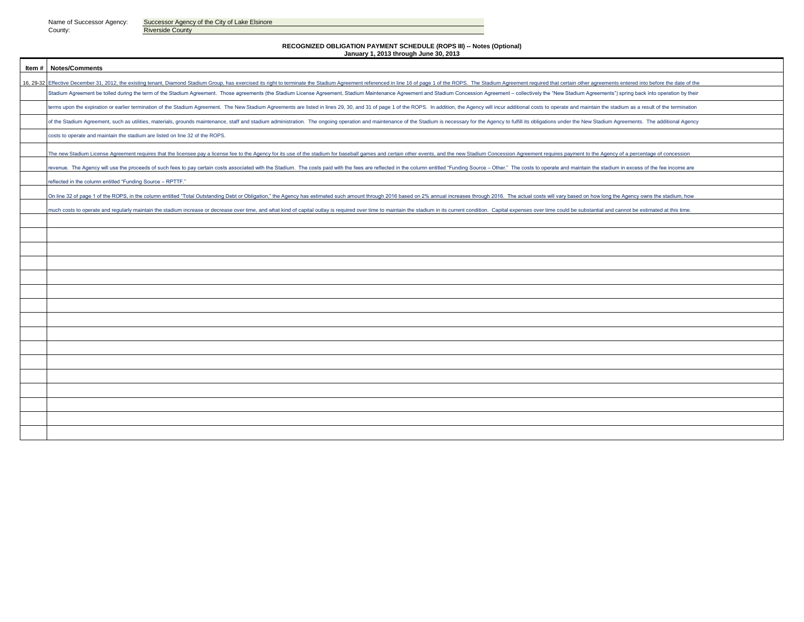County: Riverside County

Name of Successor Agency: Successor Agency of the City of Lake Elsinore

#### **RECOGNIZED OBLIGATION PAYMENT SCHEDULE (ROPS III) -- Notes (Optional) January 1, 2013 through June 30, 2013**

**Item # Notes/Comments** 16, 29-32 Effective December 31, 2012, the existing tenant, Diamond Stadium Group, has exercised its right to terminate the Stadium Agreement referenced in line 16 of page 1 of the ROPS. The Stadium Agreement required that Stadium Agreement be tolled during the term of the Stadium Agreement. Those agreements (the Stadium License Agreement, Stadium Maintenance Agreement and Stadium Concession Agreement - collectively the "New Stadium Agreemen terms upon the expiration or earlier termination of the Stadium Agreement. The New Stadium Agreements are listed in lines 29, 30, and 31 of page 1 of the ROPS. In addition, the Agency will incur additional costs to operate of the Stadium Agreement, such as utilities, materials, grounds maintenance, staff and stadium administration. The ongoing operation and maintenance of the Stadium is necessary for the Agency to fulfill its obligations und costs to operate and maintain the stadium are listed on line 32 of the ROPS. The new Stadium License Agreement requires that the licensee pay a license fee to the Agency for its use of the stadium for baseball games and certain other events, and the new Stadium Concession Agreement requires payment revenue. The Agency will use the proceeds of such fees to pay certain costs associated with the Stadium. The costs paid with the fees are reflected in the column entitled "Funding Source - Other." The costs to operate and reflected in the column entitled "Funding Source – RPTTF." On line 32 of page 1 of the ROPS, in the column entitled "Total Outstanding Debt or Obligation," the Agency has estimated such amount through 2016 based on 2% annual increases through 2016. The actual costs will vary based nuch costs to operate and regularly maintain the stadium increase or decrease over time, and what kind of capital outlay is required over time to maintain the stadium in its current condition. Capital expenses over time co